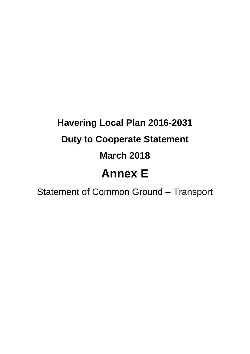# **Havering Local Plan 2016-2031 Duty to Cooperate Statement March 2018 Annex E**

Statement of Common Ground – Transport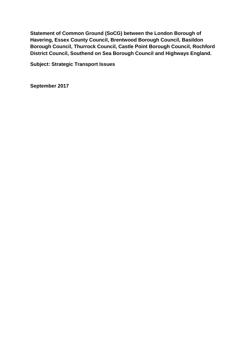**Statement of Common Ground (SoCG) between the London Borough of Havering, Essex County Council, Brentwood Borough Council, Basildon Borough Council, Thurrock Council, Castle Point Borough Council, Rochford District Council, Southend on Sea Borough Council and Highways England.**

**Subject: Strategic Transport Issues** 

**September 2017**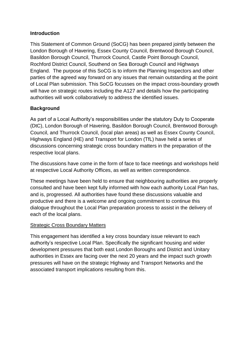#### **Introduction**

This Statement of Common Ground (SoCG) has been prepared jointly between the London Borough of Havering, Essex County Council, Brentwood Borough Council, Basildon Borough Council, Thurrock Council, Castle Point Borough Council, Rochford District Council, Southend on Sea Borough Council and Highways England. The purpose of this SoCG is to inform the Planning Inspectors and other parties of the agreed way forward on any issues that remain outstanding at the point of Local Plan submission. This SoCG focusses on the impact cross-boundary growth will have on strategic routes including the A127 and details how the participating authorities will work collaboratively to address the identified issues.

### **Background**

As part of a Local Authority's responsibilities under the statutory Duty to Cooperate (DtC), London Borough of Havering, Basildon Borough Council, Brentwood Borough Council, and Thurrock Council, (local plan areas) as well as Essex County Council, Highways England (HE) and Transport for London (TfL) have held a series of discussions concerning strategic cross boundary matters in the preparation of the respective local plans.

The discussions have come in the form of face to face meetings and workshops held at respective Local Authority Offices, as well as written correspondence.

These meetings have been held to ensure that neighbouring authorities are properly consulted and have been kept fully informed with how each authority Local Plan has, and is, progressed. All authorities have found these discussions valuable and productive and there is a welcome and ongoing commitment to continue this dialogue throughout the Local Plan preparation process to assist in the delivery of each of the local plans.

#### Strategic Cross Boundary Matters

This engagement has identified a key cross boundary issue relevant to each authority's respective Local Plan. Specifically the significant housing and wider development pressures that both east London Boroughs and District and Unitary authorities in Essex are facing over the next 20 years and the impact such growth pressures will have on the strategic Highway and Transport Networks and the associated transport implications resulting from this.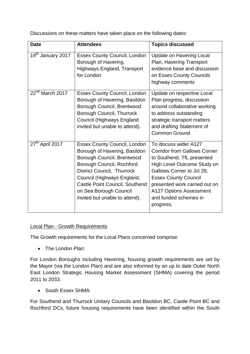Discussions on these matters have taken place on the following dates:

| <b>Date</b>                   | <b>Attendees</b>                                                                                                                                                                                                                                                                                 | <b>Topics discussed</b>                                                                                                                                                                                                                                                                        |
|-------------------------------|--------------------------------------------------------------------------------------------------------------------------------------------------------------------------------------------------------------------------------------------------------------------------------------------------|------------------------------------------------------------------------------------------------------------------------------------------------------------------------------------------------------------------------------------------------------------------------------------------------|
| 19 <sup>th</sup> January 2017 | <b>Essex County Council, London</b><br>Borough of Havering,<br>Highways England, Transport<br>for London                                                                                                                                                                                         | <b>Update on Havering Local</b><br>Plan, Havering Transport<br>evidence base and discussion<br>on Essex County Councils<br>highway comments                                                                                                                                                    |
| $22nd$ March 2017             | <b>Essex County Council, London</b><br>Borough of Havering, Basildon<br>Borough Council, Brentwood<br>Borough Council, Thurrock<br>Council (Highways England<br>invited but unable to attend).                                                                                                   | Update on respective Local<br>Plan progress, discussion<br>around collaborative working<br>to address outstanding<br>strategic transport matters<br>and drafting Statement of<br><b>Common Ground</b>                                                                                          |
| 27 <sup>th</sup> April 2017   | <b>Essex County Council, London</b><br>Borough of Havering, Basildon<br>Borough Council, Brentwood<br>Borough Council, Rochford<br>District Council, Thurrock<br>Council (Highways England,<br><b>Castle Point Council, Southend</b><br>on Sea Borough Council<br>invited but unable to attend). | To discuss wider A127<br><b>Corridor from Gallows Corner</b><br>to Southend. TfL presented<br>High Level Outcome Study on<br>Gallows Corner to Jct 29,<br><b>Essex County Council</b><br>presented work carried out on<br><b>A127 Options Assessment</b><br>and funded schemes in<br>progress. |

#### Local Plan - Growth Requirements

The Growth requirements for the Local Plans concerned comprise:

• The London Plan:

For London Boroughs including Havering, housing growth requirements are set by the Mayor (via the London Plan) and are also informed by an up to date Outer North East London Strategic Housing Market Assessment (SHMA) covering the period 2011 to 2033.

• South Essex SHMA:

For Southend and Thurrock Unitary Councils and Basildon BC, Castle Point BC and Rochford DCs, future housing requirements have been identified within the South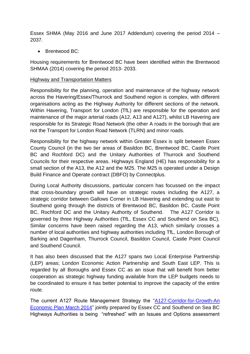Essex SHMA (May 2016 and June 2017 Addendum) covering the period 2014 – 2037.

• Brentwood BC:

Housing requirements for Brentwood BC have been identified within the Brentwood SHMAA (2014) covering the period 2013- 2033.

#### Highway and Transportation Matters

Responsibility for the planning, operation and maintenance of the highway network across the Havering/Essex/Thurrock and Southend region is complex, with different organisations acting as the Highway Authority for different sections of the network. Within Havering, Transport for London (TfL) are responsible for the operation and maintenance of the major arterial roads (A12, A13 and A127), whilst LB Havering are responsible for its Strategic Road Network (the other A roads in the borough that are not the Transport for London Road Network (TLRN) and minor roads.

Responsibility for the highway network within Greater Essex is split between Essex County Council (in the two tier areas of Basildon BC, Brentwood BC, Castle Point BC and Rochford DC) and the Unitary Authorities of Thurrock and Southend Councils for their respective areas. Highways England (HE) has responsibility for a small section of the A13, the A12 and the M25. The M25 is operated under a Design Build Finance and Operate contract (DBFO) by Connectplus.

During Local Authority discussions, particular concern has focussed on the impact that cross-boundary growth will have on strategic routes including the A127, a strategic corridor between Gallows Corner in LB Havering and extending out east to Southend going through the districts of Brentwood BC, Basildon BC, Castle Point BC, Rochford DC and the Unitary Authority of Southend. The A127 Corridor is governed by three Highway Authorities (TfL, Essex CC and Southend on Sea BC). Similar concerns have been raised regarding the A13, which similarly crosses a number of local authorities and highway authorities including TfL, London Borough of Barking and Dagenham, Thurrock Council, Basildon Council, Castle Point Council and Southend Council.

It has also been discussed that the A127 spans two Local Enterprise Partnership (LEP) areas; London Economic Action Partnership and South East LEP. This is regarded by all Boroughs and Essex CC as an issue that will benefit from better cooperation as strategic highway funding available from the LEP budgets needs to be coordinated to ensure it has better potential to improve the capacity of the entire route.

The current A127 Route Management Strategy the ["A127-Corridor-for-Growth-An](http://www.essexhighways.org/uploads/Nevendon-A127-Corridor-for-Growth-Paper.pdf)  [Economic Plan March 2014"](http://www.essexhighways.org/uploads/Nevendon-A127-Corridor-for-Growth-Paper.pdf) jointly prepared by Essex CC and Southend on Sea BC Highways Authorities is being "refreshed" with an Issues and Options assessment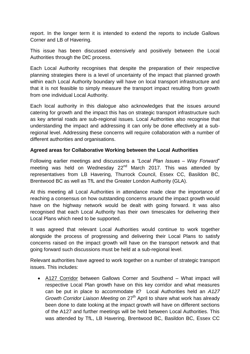report. In the longer term it is intended to extend the reports to include Gallows Corner and LB of Havering.

This issue has been discussed extensively and positively between the Local Authorities through the DtC process.

Each Local Authority recognises that despite the preparation of their respective planning strategies there is a level of uncertainty of the impact that planned growth within each Local Authority boundary will have on local transport infrastructure and that it is not feasible to simply measure the transport impact resulting from growth from one individual Local Authority.

Each local authority in this dialogue also acknowledges that the issues around catering for growth and the impact this has on strategic transport infrastructure such as key arterial roads are sub-regional issues. Local Authorities also recognise that understanding the impact and addressing it can only be done effectively at a subregional level. Addressing these concerns will require collaboration with a number of different authorities and organisations.

#### **Agreed areas for Collaborative Working between the Local Authorities**

Following earlier meetings and discussions a *"Local Plan Issues – Way Forward*" meeting was held on Wednesday  $22<sup>nd</sup>$  March 2017. This was attended by representatives from LB Havering, Thurrock Council, Essex CC, Basildon BC, Brentwood BC as well as TfL and the Greater London Authority (GLA).

At this meeting all Local Authorities in attendance made clear the importance of reaching a consensus on how outstanding concerns around the impact growth would have on the highway network would be dealt with going forward. It was also recognised that each Local Authority has their own timescales for delivering their Local Plans which need to be supported.

It was agreed that relevant Local Authorities would continue to work together alongside the process of progressing and delivering their Local Plans to satisfy concerns raised on the impact growth will have on the transport network and that going forward such discussions must be held at a sub-regional level.

Relevant authorities have agreed to work together on a number of strategic transport issues. This includes:

 A127 Corridor between Gallows Corner and Southend – What impact will respective Local Plan growth have on this key corridor and what measures can be put in place to accommodate it? Local Authorities held an *A127 Growth Corridor Liaison Meeting* on 27<sup>th</sup> April to share what work has already been done to date looking at the impact growth will have on different sections of the A127 and further meetings will be held between Local Authorities. This was attended by TfL, LB Havering, Brentwood BC, Basildon BC, Essex CC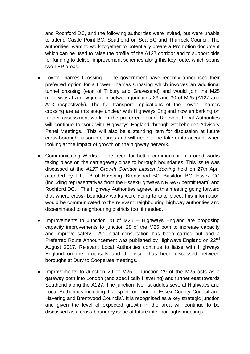and Rochford DC, and the following authorities were invited, but were unable to attend Castle Point BC, Southend on Sea BC and Thurrock Council. The authorities want to work together to potentially create a Promotion document which can be used to raise the profile of the A127 corridor and to support bids for funding to deliver improvement schemes along this key route, which spans two LEP areas.

- Lower Thames Crossing The government have recently announced their preferred option for a Lower Thames Crossing which involves an additional tunnel crossing (east of Tilbury and Gravesend) and would join the M25 motorway at a new junction between junctions 29 and 30 of M25 (A127 and A13 respectively). The full transport implications of the Lower Thames crossing are at this stage unclear with Highways England now embarking on further assessment work on the preferred option. Relevant Local Authorities will continue to work with Highways England through Stakeholder Advisory Panel Meetings. This will also be a standing item for discussion at future cross-borough liaison meetings and will need to be taken into account when looking at the impact of growth on the highway network.
- Communicating Works The need for better communication around works taking place on the carriageway close to borough boundaries. This issue was discussed at the *A127 Growth Corridor Liaison Meeting* held on 27th April attended by TfL, LB of Havering, Brentwood BC, Basildon BC, Essex CC (including representatives from the EssexHighways NRSWA permit team) and Rochford DC. The Highway Authorities agreed at this meeting going forward that where cross- boundary works were going to take place, this information would be communicated to the relevant neighbouring highway authorities and disseminated to neighbouring districts too, if needed.
- Improvements to Junction 28 of M25 Highways England are proposing capacity improvements to junction 28 of the M25 both to increase capacity and improve safety. An initial consultation has been carried out and a Preferred Route Announcement was published by Highways England on 22<sup>nd</sup> August 2017. Relevant Local Authorities continue to liaise with Highways England on the proposals and the issue has been discussed between boroughs at Duty to Cooperate meetings.
- Improvements to Junction 29 of M25 Junction 29 of the M25 acts as a gateway both into London (and specifically Havering) and further east towards Southend along the A127. The junction itself straddles several Highways and Local Authorities including Transport for London, Essex County Council and Havering and Brentwood Councils'. It is recognised as a key strategic junction and given the level of expected growth in the area will continue to be discussed as a cross-boundary issue at future inter boroughs meetings.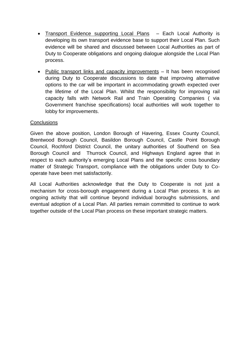- Transport Evidence supporting Local Plans Each Local Authority is developing its own transport evidence base to support their Local Plan. Such evidence will be shared and discussed between Local Authorities as part of Duty to Cooperate obligations and ongoing dialogue alongside the Local Plan process.
- Public transport links and capacity improvements It has been recognised during Duty to Cooperate discussions to date that improving alternative options to the car will be important in accommodating growth expected over the lifetime of the Local Plan. Whilst the responsibility for improving rail capacity falls with Network Rail and Train Operating Companies ( via Government franchise specifications) local authorities will work together to lobby for improvements.

#### **Conclusions**

Given the above position, London Borough of Havering, Essex County Council, Brentwood Borough Council, Basildon Borough Council, Castle Point Borough Council, Rochford District Council, the unitary authorities of Southend on Sea Borough Council and Thurrock Council, and Highways England agree that in respect to each authority's emerging Local Plans and the specific cross boundary matter of Strategic Transport, compliance with the obligations under Duty to Cooperate have been met satisfactorily.

All Local Authorities acknowledge that the Duty to Cooperate is not just a mechanism for cross-borough engagement during a Local Plan process. It is an ongoing activity that will continue beyond individual boroughs submissions, and eventual adoption of a Local Plan. All parties remain committed to continue to work together outside of the Local Plan process on these important strategic matters.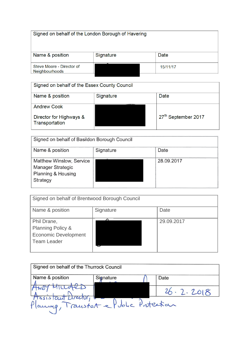| Signed on behalf of the London Borough of Havering |           |          |  |
|----------------------------------------------------|-----------|----------|--|
| Name & position                                    | Signature | Date     |  |
| Steve Moore - Director of<br><b>Neighbourhoods</b> |           | 15/11/17 |  |

## Signed on behalf of the Essex County Council Name & position Signature Date **Andrew Cook**  $27^{\text{th}}$  September 2017 Director for Highways &<br>Transportation

| Signed on behalf of Basildon Borough Council                                           |           |            |
|----------------------------------------------------------------------------------------|-----------|------------|
| Name & position                                                                        | Signature | Date       |
| Matthew Winslow, Service<br><b>Manager Strategic</b><br>Planning & Housing<br>Strategy |           | 28.09.2017 |

| Signed on behalf of Brentwood Borough Council                                                    |           |            |
|--------------------------------------------------------------------------------------------------|-----------|------------|
| Name & position                                                                                  | Signature | Date       |
| Phil Drane,<br><b>Planning Policy &amp;</b><br><b>Economic Development</b><br><b>Team Leader</b> |           | 29.09.2017 |

| Signed on behalf of the Thurrock Council  |           |           |
|-------------------------------------------|-----------|-----------|
|                                           |           |           |
| Name & position                           | Signature | Date      |
|                                           |           |           |
|                                           |           |           |
|                                           |           | 26.2.2018 |
|                                           |           |           |
| Assistant Drector, base Public Protection |           |           |
|                                           |           |           |
|                                           |           |           |